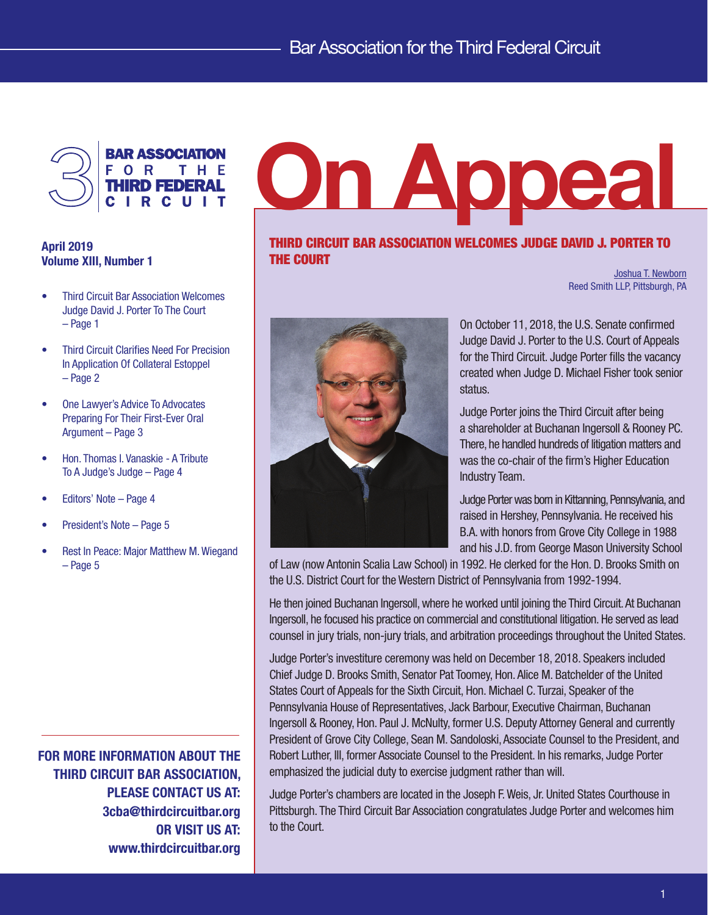

# April 2019 Volume XIII, Number 1

- Third Circuit Bar Association Welcomes Judge David J. Porter To The Court – Page 1
- Third Circuit Clarifies Need For Precision In Application Of Collateral Estoppel – Page 2
- One Lawyer's Advice To Advocates Preparing For Their First-Ever Oral Argument – Page 3
- Hon. Thomas I. Vanaskie A Tribute To A Judge's Judge – Page 4
- Editors' Note Page 4
- President's Note Page 5
- Rest In Peace: Major Matthew M. Wiegand – Page 5

FOR MORE INFORMATION ABOUT THE THIRD CIRCUIT BAR ASSOCIATION, PLEASE CONTACT US AT: 3cba@thirdcircuitbar.org OR VISIT US AT: www.thirdcircuitbar.org

# On Appeal

## THIRD CIRCUIT BAR ASSOCIATION WELCOMES JUDGE DAVID J. PORTER TO THE COURT

[Joshua T. Newborn](https://www.reedsmith.com/en/professionals/n/newborn-joshua-t) Reed Smith LLP, Pittsburgh, PA



On October 11, 2018, the U.S. Senate confirmed Judge David J. Porter to the U.S. Court of Appeals for the Third Circuit. Judge Porter fills the vacancy created when Judge D. Michael Fisher took senior status.

Judge Porter joins the Third Circuit after being a shareholder at Buchanan Ingersoll & Rooney PC. There, he handled hundreds of litigation matters and was the co-chair of the firm's Higher Education Industry Team.

Judge Porter was born in Kittanning, Pennsylvania, and raised in Hershey, Pennsylvania. He received his B.A. with honors from Grove City College in 1988 and his J.D. from George Mason University School

of Law (now Antonin Scalia Law School) in 1992. He clerked for the Hon. D. Brooks Smith on the U.S. District Court for the Western District of Pennsylvania from 1992-1994.

He then joined Buchanan Ingersoll, where he worked until joining the Third Circuit. At Buchanan Ingersoll, he focused his practice on commercial and constitutional litigation. He served as lead counsel in jury trials, non-jury trials, and arbitration proceedings throughout the United States.

Judge Porter's investiture ceremony was held on December 18, 2018. Speakers included Chief Judge D. Brooks Smith, Senator Pat Toomey, Hon. Alice M. Batchelder of the United States Court of Appeals for the Sixth Circuit, Hon. Michael C. Turzai, Speaker of the Pennsylvania House of Representatives, Jack Barbour, Executive Chairman, Buchanan Ingersoll & Rooney, Hon. Paul J. McNulty, former U.S. Deputy Attorney General and currently President of Grove City College, Sean M. Sandoloski, Associate Counsel to the President, and Robert Luther, III, former Associate Counsel to the President. In his remarks, Judge Porter emphasized the judicial duty to exercise judgment rather than will.

Judge Porter's chambers are located in the Joseph F. Weis, Jr. United States Courthouse in Pittsburgh. The Third Circuit Bar Association congratulates Judge Porter and welcomes him to the Court.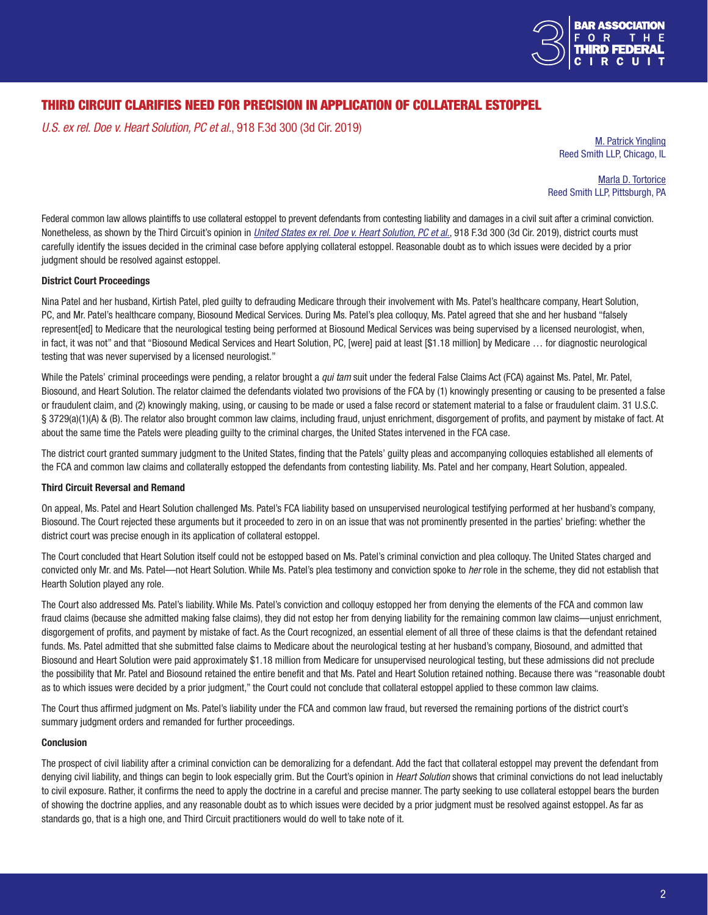

# THIRD CIRCUIT CLARIFIES NEED FOR PRECISION IN APPLICATION OF COLLATERAL ESTOPPEL

*U.S. ex rel. Doe v. Heart Solution, PC et al.*, 918 F.3d 300 (3d Cir. 2019)

[M. Patrick Yingling](https://www.reedsmith.com/en/professionals/y/yingling-m-patrick) Reed Smith LLP, Chicago, IL

[Marla D. Tortorice](https://www.reedsmith.com/en/professionals/t/tortorice-marla-d) Reed Smith LLP, Pittsburgh, PA

Federal common law allows plaintiffs to use collateral estoppel to prevent defendants from contesting liability and damages in a civil suit after a criminal conviction. Nonetheless, as shown by the Third Circuit's opinion in *[United States ex rel. Doe v. Heart Solution, PC et al.](https://www2.ca3.uscourts.gov/opinarch/172019p.pdf)*, 918 F.3d 300 (3d Cir. 2019), district courts must carefully identify the issues decided in the criminal case before applying collateral estoppel. Reasonable doubt as to which issues were decided by a prior judgment should be resolved against estoppel.

#### District Court Proceedings

Nina Patel and her husband, Kirtish Patel, pled guilty to defrauding Medicare through their involvement with Ms. Patel's healthcare company, Heart Solution, PC, and Mr. Patel's healthcare company, Biosound Medical Services. During Ms. Patel's plea colloquy, Ms. Patel agreed that she and her husband "falsely represent[ed] to Medicare that the neurological testing being performed at Biosound Medical Services was being supervised by a licensed neurologist, when, in fact, it was not" and that "Biosound Medical Services and Heart Solution, PC, [were] paid at least [\$1.18 million] by Medicare … for diagnostic neurological testing that was never supervised by a licensed neurologist."

While the Patels' criminal proceedings were pending, a relator brought a *qui tam* suit under the federal False Claims Act (FCA) against Ms. Patel, Mr. Patel, Biosound, and Heart Solution. The relator claimed the defendants violated two provisions of the FCA by (1) knowingly presenting or causing to be presented a false or fraudulent claim, and (2) knowingly making, using, or causing to be made or used a false record or statement material to a false or fraudulent claim. 31 U.S.C. § 3729(a)(1)(A) & (B). The relator also brought common law claims, including fraud, unjust enrichment, disgorgement of profits, and payment by mistake of fact. At about the same time the Patels were pleading guilty to the criminal charges, the United States intervened in the FCA case.

The district court granted summary judgment to the United States, finding that the Patels' guilty pleas and accompanying colloquies established all elements of the FCA and common law claims and collaterally estopped the defendants from contesting liability. Ms. Patel and her company, Heart Solution, appealed.

#### Third Circuit Reversal and Remand

On appeal, Ms. Patel and Heart Solution challenged Ms. Patel's FCA liability based on unsupervised neurological testifying performed at her husband's company, Biosound. The Court rejected these arguments but it proceeded to zero in on an issue that was not prominently presented in the parties' briefing: whether the district court was precise enough in its application of collateral estoppel.

The Court concluded that Heart Solution itself could not be estopped based on Ms. Patel's criminal conviction and plea colloquy. The United States charged and convicted only Mr. and Ms. Patel—not Heart Solution. While Ms. Patel's plea testimony and conviction spoke to *her* role in the scheme, they did not establish that Hearth Solution played any role.

The Court also addressed Ms. Patel's liability. While Ms. Patel's conviction and colloquy estopped her from denying the elements of the FCA and common law fraud claims (because she admitted making false claims), they did not estop her from denying liability for the remaining common law claims—unjust enrichment, disgorgement of profits, and payment by mistake of fact. As the Court recognized, an essential element of all three of these claims is that the defendant retained funds. Ms. Patel admitted that she submitted false claims to Medicare about the neurological testing at her husband's company, Biosound, and admitted that Biosound and Heart Solution were paid approximately \$1.18 million from Medicare for unsupervised neurological testing, but these admissions did not preclude the possibility that Mr. Patel and Biosound retained the entire benefit and that Ms. Patel and Heart Solution retained nothing. Because there was "reasonable doubt as to which issues were decided by a prior judgment," the Court could not conclude that collateral estoppel applied to these common law claims.

The Court thus affirmed judgment on Ms. Patel's liability under the FCA and common law fraud, but reversed the remaining portions of the district court's summary judgment orders and remanded for further proceedings.

#### **Conclusion**

The prospect of civil liability after a criminal conviction can be demoralizing for a defendant. Add the fact that collateral estoppel may prevent the defendant from denying civil liability, and things can begin to look especially grim. But the Court's opinion in *Heart Solution* shows that criminal convictions do not lead ineluctably to civil exposure. Rather, it confirms the need to apply the doctrine in a careful and precise manner. The party seeking to use collateral estoppel bears the burden of showing the doctrine applies, and any reasonable doubt as to which issues were decided by a prior judgment must be resolved against estoppel. As far as standards go, that is a high one, and Third Circuit practitioners would do well to take note of it.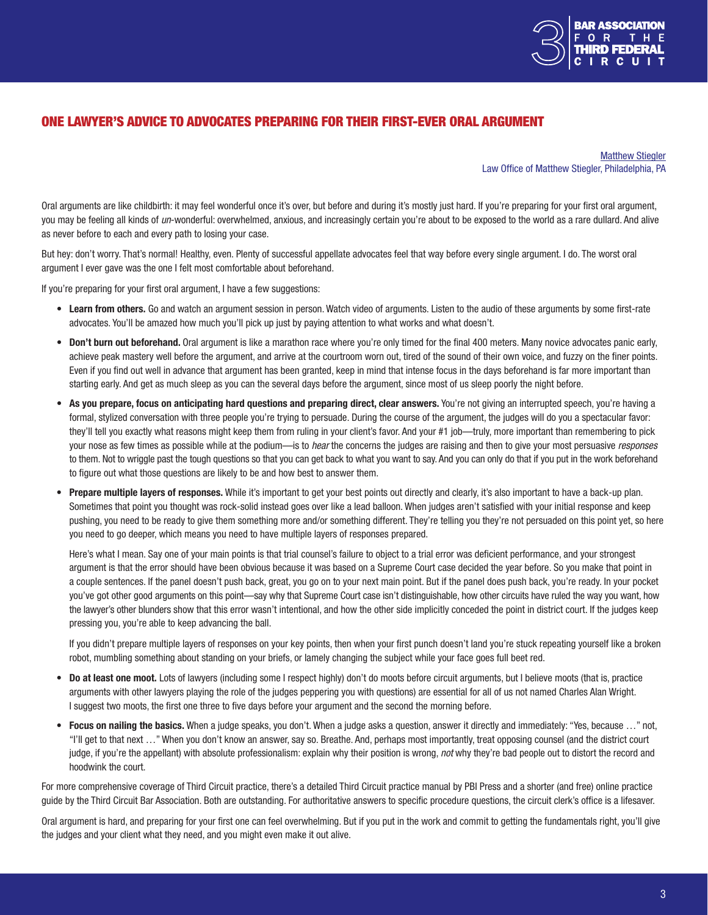

## ONE LAWYER'S ADVICE TO ADVOCATES PREPARING FOR THEIR FIRST-EVER ORAL ARGUMENT

[Matthew Stiegler](http://www.stieglerlaw.com/attorney-profile.html) Law Office of Matthew Stiegler, Philadelphia, PA

Oral arguments are like childbirth: it may feel wonderful once it's over, but before and during it's mostly just hard. If you're preparing for your first oral argument, you may be feeling all kinds of *un*-wonderful: overwhelmed, anxious, and increasingly certain you're about to be exposed to the world as a rare dullard. And alive as never before to each and every path to losing your case.

But hey: don't worry. That's normal! Healthy, even. Plenty of successful appellate advocates feel that way before every single argument. I do. The worst oral argument I ever gave was the one I felt most comfortable about beforehand.

If you're preparing for your first oral argument, I have a few suggestions:

- Learn from others. Go and watch an argument session in person. Watch video of arguments. Listen to the audio of these arguments by some first-rate advocates. You'll be amazed how much you'll pick up just by paying attention to what works and what doesn't.
- Don't burn out beforehand. Oral argument is like a marathon race where you're only timed for the final 400 meters. Many novice advocates panic early, achieve peak mastery well before the argument, and arrive at the courtroom worn out, tired of the sound of their own voice, and fuzzy on the finer points. Even if you find out well in advance that argument has been granted, keep in mind that intense focus in the days beforehand is far more important than starting early. And get as much sleep as you can the several days before the argument, since most of us sleep poorly the night before.
- As you prepare, focus on anticipating hard questions and preparing direct, clear answers. You're not giving an interrupted speech, you're having a formal, stylized conversation with three people you're trying to persuade. During the course of the argument, the judges will do you a spectacular favor: they'll tell you exactly what reasons might keep them from ruling in your client's favor. And your #1 job—truly, more important than remembering to pick your nose as few times as possible while at the podium—is to *hear* the concerns the judges are raising and then to give your most persuasive *responses* to them. Not to wriggle past the tough questions so that you can get back to what you want to say. And you can only do that if you put in the work beforehand to figure out what those questions are likely to be and how best to answer them.
- Prepare multiple layers of responses. While it's important to get your best points out directly and clearly, it's also important to have a back-up plan. Sometimes that point you thought was rock-solid instead goes over like a lead balloon. When judges aren't satisfied with your initial response and keep pushing, you need to be ready to give them something more and/or something different. They're telling you they're not persuaded on this point yet, so here you need to go deeper, which means you need to have multiple layers of responses prepared.

 Here's what I mean. Say one of your main points is that trial counsel's failure to object to a trial error was deficient performance, and your strongest argument is that the error should have been obvious because it was based on a Supreme Court case decided the year before. So you make that point in a couple sentences. If the panel doesn't push back, great, you go on to your next main point. But if the panel does push back, you're ready. In your pocket you've got other good arguments on this point—say why that Supreme Court case isn't distinguishable, how other circuits have ruled the way you want, how the lawyer's other blunders show that this error wasn't intentional, and how the other side implicitly conceded the point in district court. If the judges keep pressing you, you're able to keep advancing the ball.

 If you didn't prepare multiple layers of responses on your key points, then when your first punch doesn't land you're stuck repeating yourself like a broken robot, mumbling something about standing on your briefs, or lamely changing the subject while your face goes full beet red.

- Do at least one moot. Lots of lawyers (including some I respect highly) don't do moots before circuit arguments, but I believe moots (that is, practice arguments with other lawyers playing the role of the judges peppering you with questions) are essential for all of us not named Charles Alan Wright. I suggest two moots, the first one three to five days before your argument and the second the morning before.
- Focus on nailing the basics. When a judge speaks, you don't. When a judge asks a question, answer it directly and immediately: "Yes, because ..." not, "I'll get to that next …" When you don't know an answer, say so. Breathe. And, perhaps most importantly, treat opposing counsel (and the district court judge, if you're the appellant) with absolute professionalism: explain why their position is wrong, *not* why they're bad people out to distort the record and hoodwink the court.

For more comprehensive coverage of Third Circuit practice, there's a detailed Third Circuit practice manual by PBI Press and a shorter (and free) online practice guide by the Third Circuit Bar Association. Both are outstanding. For authoritative answers to specific procedure questions, the circuit clerk's office is a lifesaver.

Oral argument is hard, and preparing for your first one can feel overwhelming. But if you put in the work and commit to getting the fundamentals right, you'll give the judges and your client what they need, and you might even make it out alive.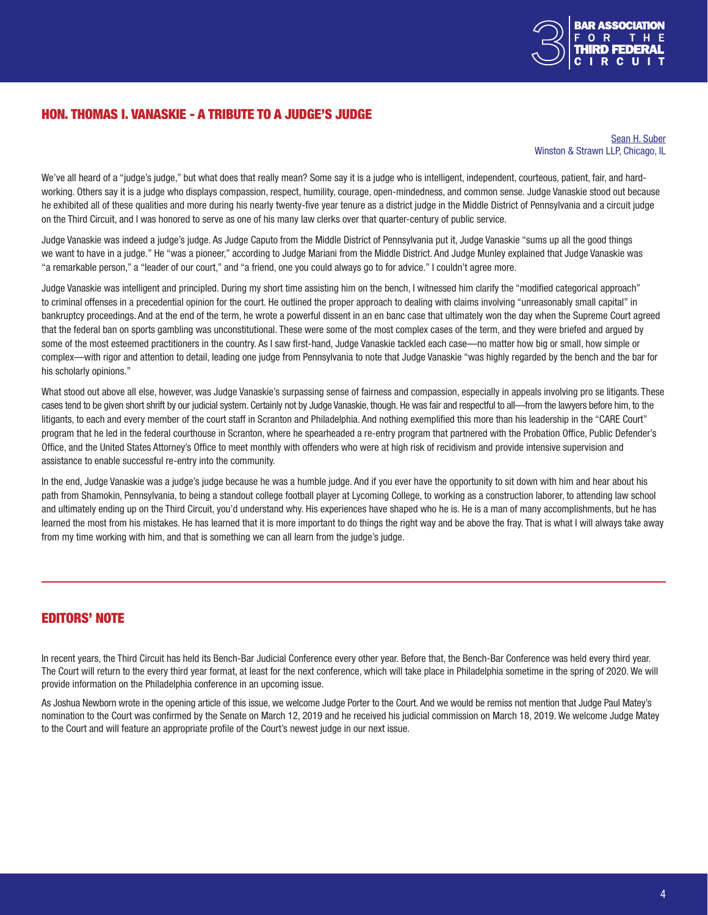

# HON. THOMAS I. VANASKIE - A TRIBUTE TO A JUDGE'S JUDGE

[Sean H. Suber](https://www.winston.com/en/who-we-are/professionals/suber-sean-h.html) Winston & Strawn LLP, Chicago, IL

We've all heard of a "judge's judge," but what does that really mean? Some say it is a judge who is intelligent, independent, courteous, patient, fair, and hardworking. Others say it is a judge who displays compassion, respect, humility, courage, open-mindedness, and common sense. Judge Vanaskie stood out because he exhibited all of these qualities and more during his nearly twenty-five year tenure as a district judge in the Middle District of Pennsylvania and a circuit judge on the Third Circuit, and I was honored to serve as one of his many law clerks over that quarter-century of public service.

Judge Vanaskie was indeed a judge's judge. As Judge Caputo from the Middle District of Pennsylvania put it, Judge Vanaskie "sums up all the good things we want to have in a judge." He "was a pioneer," according to Judge Mariani from the Middle District. And Judge Munley explained that Judge Vanaskie was "a remarkable person," a "leader of our court," and "a friend, one you could always go to for advice." I couldn't agree more.

Judge Vanaskie was intelligent and principled. During my short time assisting him on the bench, I witnessed him clarify the "modified categorical approach" to criminal offenses in a precedential opinion for the court. He outlined the proper approach to dealing with claims involving "unreasonably small capital" in bankruptcy proceedings. And at the end of the term, he wrote a powerful dissent in an en banc case that ultimately won the day when the Supreme Court agreed that the federal ban on sports gambling was unconstitutional. These were some of the most complex cases of the term, and they were briefed and argued by some of the most esteemed practitioners in the country. As I saw first-hand, Judge Vanaskie tackled each case—no matter how big or small, how simple or complex—with rigor and attention to detail, leading one judge from Pennsylvania to note that Judge Vanaskie "was highly regarded by the bench and the bar for his scholarly opinions."

What stood out above all else, however, was Judge Vanaskie's surpassing sense of fairness and compassion, especially in appeals involving pro se litigants. These cases tend to be given short shrift by our judicial system. Certainly not by Judge Vanaskie, though. He was fair and respectful to all—from the lawyers before him, to the litigants, to each and every member of the court staff in Scranton and Philadelphia. And nothing exemplified this more than his leadership in the "CARE Court" program that he led in the federal courthouse in Scranton, where he spearheaded a re-entry program that partnered with the Probation Office, Public Defender's Office, and the United States Attorney's Office to meet monthly with offenders who were at high risk of recidivism and provide intensive supervision and assistance to enable successful re-entry into the community.

In the end, Judge Vanaskie was a judge's judge because he was a humble judge. And if you ever have the opportunity to sit down with him and hear about his path from Shamokin, Pennsylvania, to being a standout college football player at Lycoming College, to working as a construction laborer, to attending law school and ultimately ending up on the Third Circuit, you'd understand why. His experiences have shaped who he is. He is a man of many accomplishments, but he has learned the most from his mistakes. He has learned that it is more important to do things the right way and be above the fray. That is what I will always take away from my time working with him, and that is something we can all learn from the judge's judge.

## EDITORS' NOTE

In recent years, the Third Circuit has held its Bench-Bar Judicial Conference every other year. Before that, the Bench-Bar Conference was held every third year. The Court will return to the every third year format, at least for the next conference, which will take place in Philadelphia sometime in the spring of 2020. We will provide information on the Philadelphia conference in an upcoming issue.

As Joshua Newborn wrote in the opening article of this issue, we welcome Judge Porter to the Court. And we would be remiss not mention that Judge Paul Matey's nomination to the Court was confirmed by the Senate on March 12, 2019 and he received his judicial commission on March 18, 2019. We welcome Judge Matey to the Court and will feature an appropriate profile of the Court's newest judge in our next issue.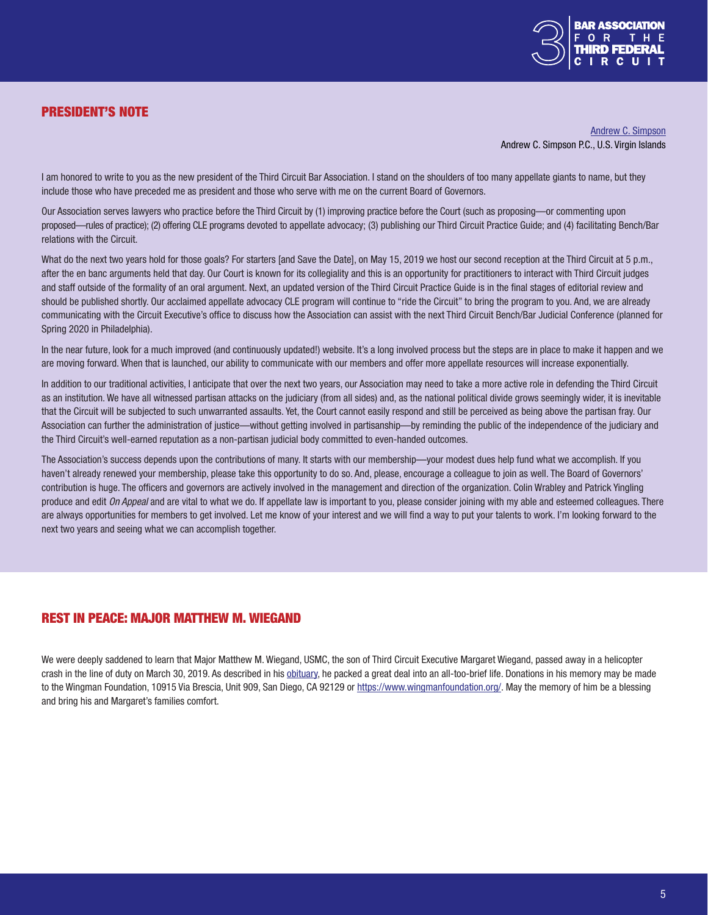

# PRESIDENT'S NOTE

[Andrew C. Simpson](https://www.coralbrief.com/About/Andrew-C-Simpson.shtml) Andrew C. Simpson P.C., U.S. Virgin Islands

I am honored to write to you as the new president of the Third Circuit Bar Association. I stand on the shoulders of too many appellate giants to name, but they include those who have preceded me as president and those who serve with me on the current Board of Governors.

Our Association serves lawyers who practice before the Third Circuit by (1) improving practice before the Court (such as proposing—or commenting upon proposed—rules of practice); (2) offering CLE programs devoted to appellate advocacy; (3) publishing our Third Circuit Practice Guide; and (4) facilitating Bench/Bar relations with the Circuit.

What do the next two years hold for those goals? For starters [and Save the Date], on May 15, 2019 we host our second reception at the Third Circuit at 5 p.m., after the en banc arguments held that day. Our Court is known for its collegiality and this is an opportunity for practitioners to interact with Third Circuit judges and staff outside of the formality of an oral argument. Next, an updated version of the Third Circuit Practice Guide is in the final stages of editorial review and should be published shortly. Our acclaimed appellate advocacy CLE program will continue to "ride the Circuit" to bring the program to you. And, we are already communicating with the Circuit Executive's office to discuss how the Association can assist with the next Third Circuit Bench/Bar Judicial Conference (planned for Spring 2020 in Philadelphia).

In the near future, look for a much improved (and continuously updated!) website. It's a long involved process but the steps are in place to make it happen and we are moving forward. When that is launched, our ability to communicate with our members and offer more appellate resources will increase exponentially.

In addition to our traditional activities, I anticipate that over the next two years, our Association may need to take a more active role in defending the Third Circuit as an institution. We have all witnessed partisan attacks on the judiciary (from all sides) and, as the national political divide grows seemingly wider, it is inevitable that the Circuit will be subjected to such unwarranted assaults. Yet, the Court cannot easily respond and still be perceived as being above the partisan fray. Our Association can further the administration of justice—without getting involved in partisanship—by reminding the public of the independence of the judiciary and the Third Circuit's well-earned reputation as a non-partisan judicial body committed to even-handed outcomes.

The Association's success depends upon the contributions of many. It starts with our membership—your modest dues help fund what we accomplish. If you haven't already renewed your membership, please take this opportunity to do so. And, please, encourage a colleague to join as well. The Board of Governors' contribution is huge. The officers and governors are actively involved in the management and direction of the organization. Colin Wrabley and Patrick Yingling produce and edit *On Appeal* and are vital to what we do. If appellate law is important to you, please consider joining with my able and esteemed colleagues. There are always opportunities for members to get involved. Let me know of your interest and we will find a way to put your talents to work. I'm looking forward to the next two years and seeing what we can accomplish together.

### REST IN PEACE: MAJOR MATTHEW M. WIEGAND

We were deeply saddened to learn that Major Matthew M. Wiegand, USMC, the son of Third Circuit Executive Margaret Wiegand, passed away in a helicopter crash in the line of duty on March 30, 2019. As described in his [obituary,](https://www.theintell.com/obituaries/20190414/major-matthew-m-wiegand) he packed a great deal into an all-too-brief life. Donations in his memory may be made to the Wingman Foundation, 10915 Via Brescia, Unit 909, San Diego, CA 92129 or [https://www.wingmanfoundation.org/.](https://www.wingmanfoundation.org/) May the memory of him be a blessing and bring his and Margaret's families comfort.